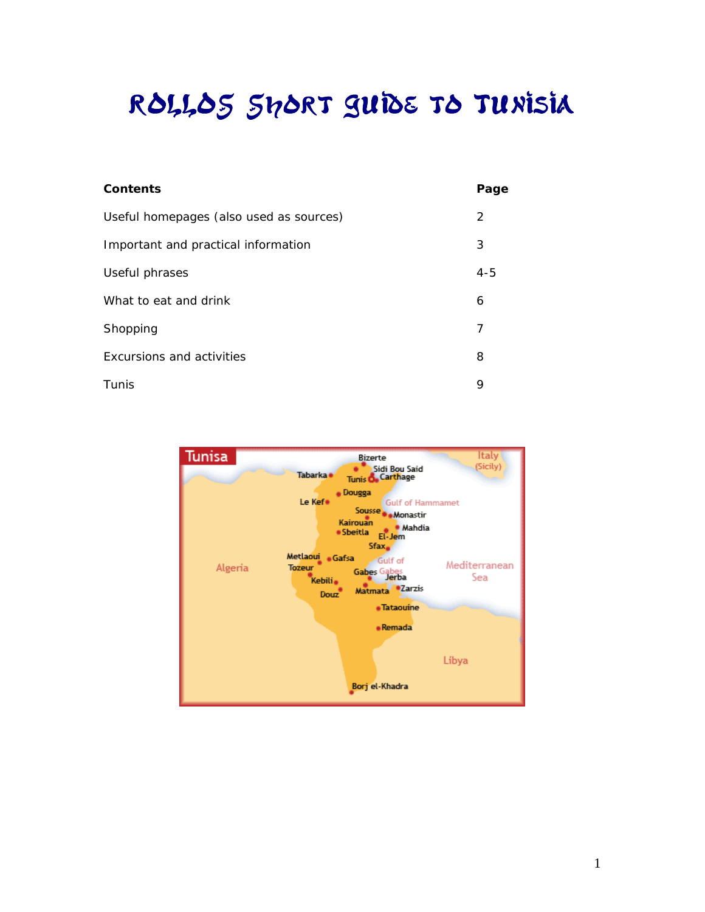# ROLLOS Short Guide to Tunisia

| Contents                                | Page    |
|-----------------------------------------|---------|
| Useful homepages (also used as sources) | 2       |
| Important and practical information     | 3       |
| Useful phrases                          | $4 - 5$ |
| What to eat and drink                   | 6       |
| Shopping                                | 7       |
| Excursions and activities               | 8       |
| Tunis                                   | 9       |

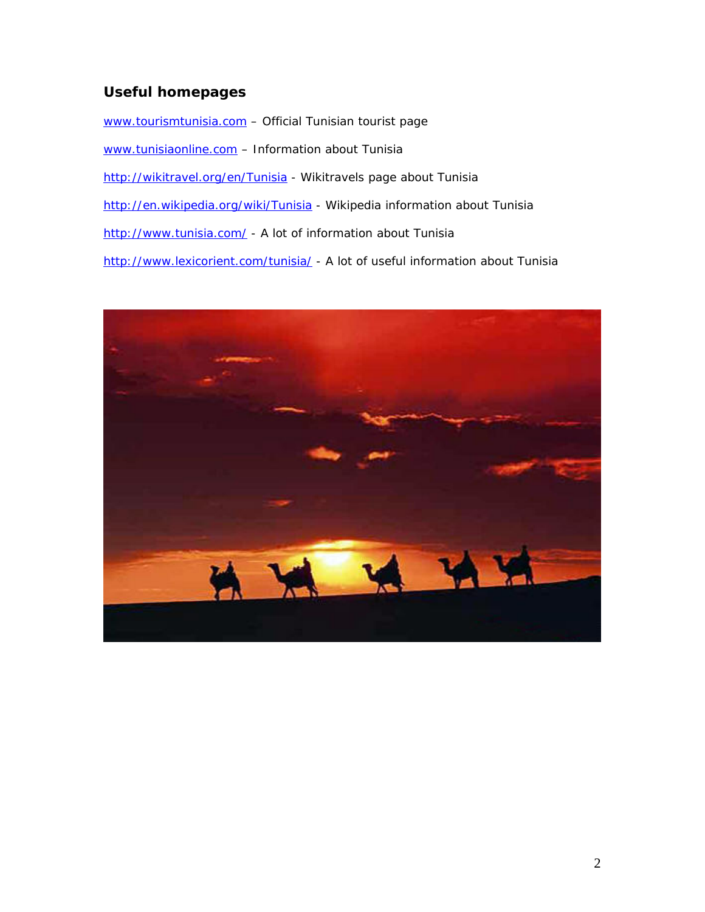# <span id="page-1-0"></span>**Useful homepages**

[www.tourismtunisia.com](http://www.tourismtunisia.com/) - Official Tunisian tourist page [www.tunisiaonline.com](http://www.tunisiaonline.com/) - Information about Tunisia <http://wikitravel.org/en/Tunisia>- Wikitravels page about Tunisia <http://en.wikipedia.org/wiki/Tunisia> - Wikipedia information about Tunisia <http://www.tunisia.com/>- A lot of information about Tunisia <http://www.lexicorient.com/tunisia/> - A lot of useful information about Tunisia

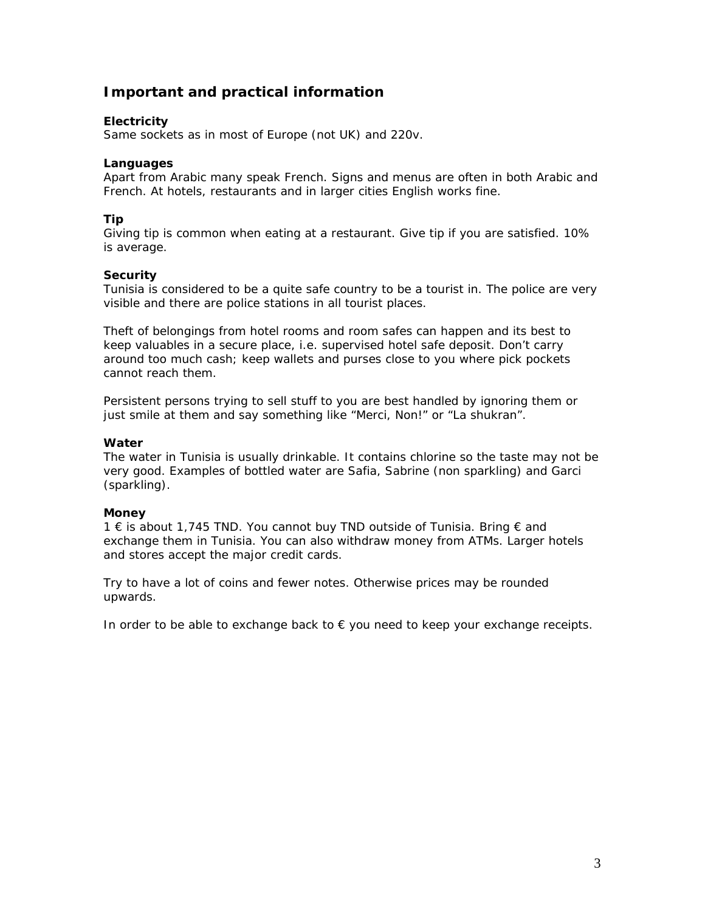# <span id="page-2-0"></span>**Important and practical information**

### **Electricity**

Same sockets as in most of Europe (not UK) and 220v.

### **Languages**

Apart from Arabic many speak French. Signs and menus are often in both Arabic and French. At hotels, restaurants and in larger cities English works fine.

### **Tip**

Giving tip is common when eating at a restaurant. Give tip if you are satisfied. 10% is average.

### **Security**

Tunisia is considered to be a quite safe country to be a tourist in. The police are very visible and there are police stations in all tourist places.

Theft of belongings from hotel rooms and room safes can happen and its best to keep valuables in a secure place, i.e. supervised hotel safe deposit. Don't carry around too much cash; keep wallets and purses close to you where pick pockets cannot reach them.

Persistent persons trying to sell stuff to you are best handled by ignoring them or just smile at them and say something like "Merci, Non!" or "La shukran".

### **Water**

The water in Tunisia is usually drinkable. It contains chlorine so the taste may not be very good. Examples of bottled water are Safia, Sabrine (non sparkling) and Garci (sparkling).

### **Money**

1 € is about 1,745 TND. You cannot buy TND outside of Tunisia. Bring € and exchange them in Tunisia. You can also withdraw money from ATMs. Larger hotels and stores accept the major credit cards.

Try to have a lot of coins and fewer notes. Otherwise prices may be rounded upwards.

In order to be able to exchange back to  $\epsilon$  you need to keep your exchange receipts.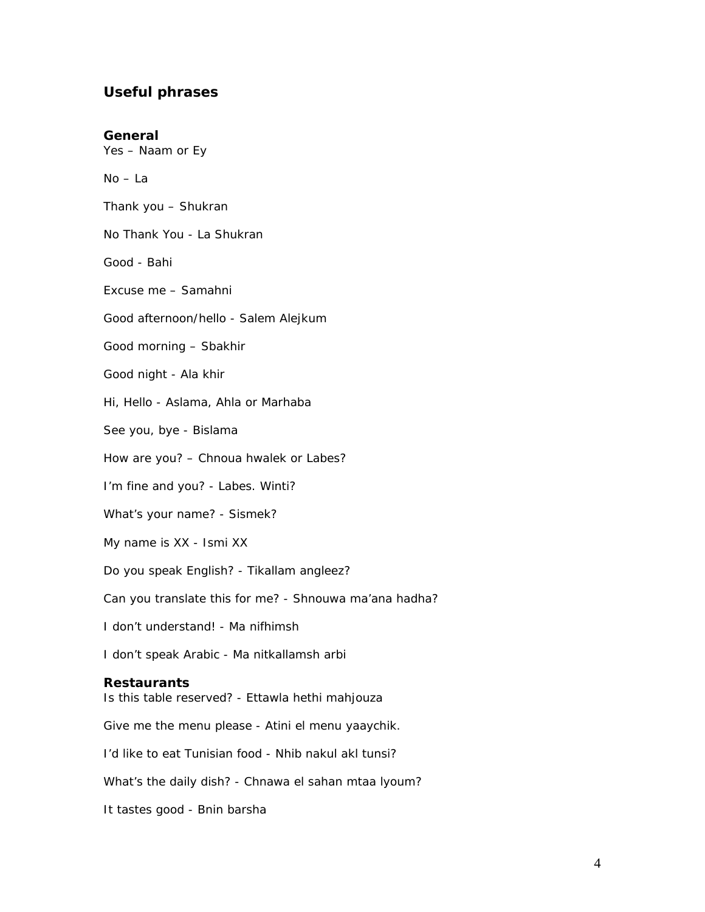### <span id="page-3-0"></span>**Useful phrases**

**General** 

Yes – Naam or Ey

No – La

Thank you – Shukran

No Thank You - La Shukran

Good - Bahi

Excuse me – Samahni

Good afternoon/hello - Salem Alejkum

Good morning – Sbakhir

Good night - Ala khir

Hi, Hello - Aslama, Ahla or Marhaba

See you, bye - Bislama

How are you? – Chnoua hwalek or Labes?

I'm fine and you? - Labes. Winti?

What's your name? - Sismek?

My name is XX - Ismi XX

Do you speak English? - Tikallam angleez?

Can you translate this for me? - Shnouwa ma'ana hadha?

I don't understand! - Ma nifhimsh

I don't speak Arabic - Ma nitkallamsh arbi

### **Restaurants**

Is this table reserved? - Ettawla hethi mahjouza

Give me the menu please - Atini el menu yaaychik.

I'd like to eat Tunisian food - Nhib nakul akl tunsi?

What's the daily dish? - Chnawa el sahan mtaa lyoum?

It tastes good - Bnin barsha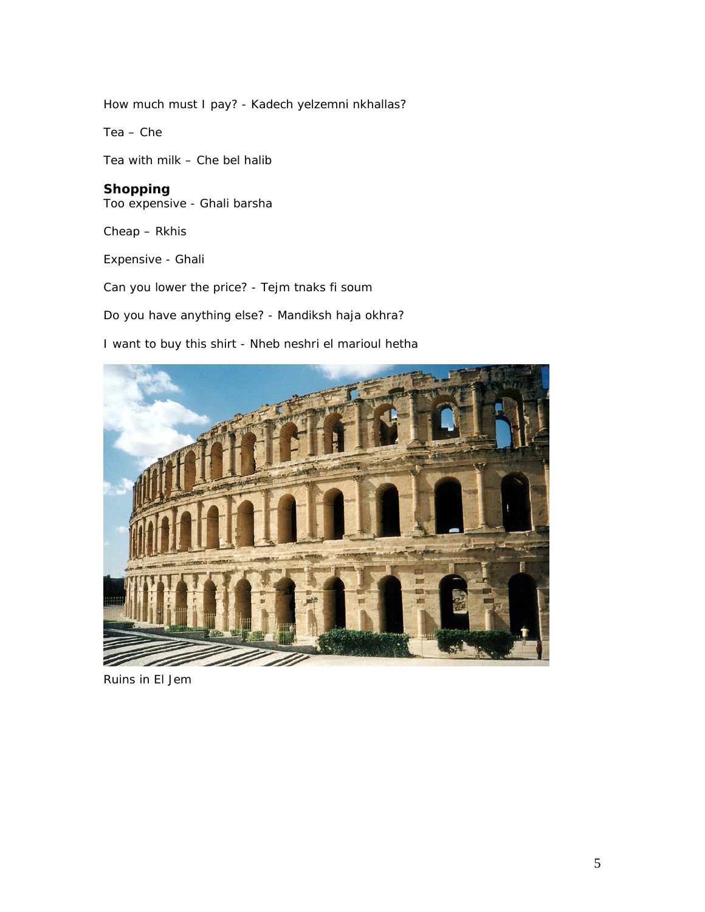How much must I pay? - Kadech yelzemni nkhallas?

Tea – Che

Tea with milk – Che bel halib

**Shopping**  Too expensive - Ghali barsha

Cheap – Rkhis

Expensive - Ghali

Can you lower the price? - Tejm tnaks fi soum

Do you have anything else? - Mandiksh haja okhra?

I want to buy this shirt - Nheb neshri el marioul hetha



Ruins in El Jem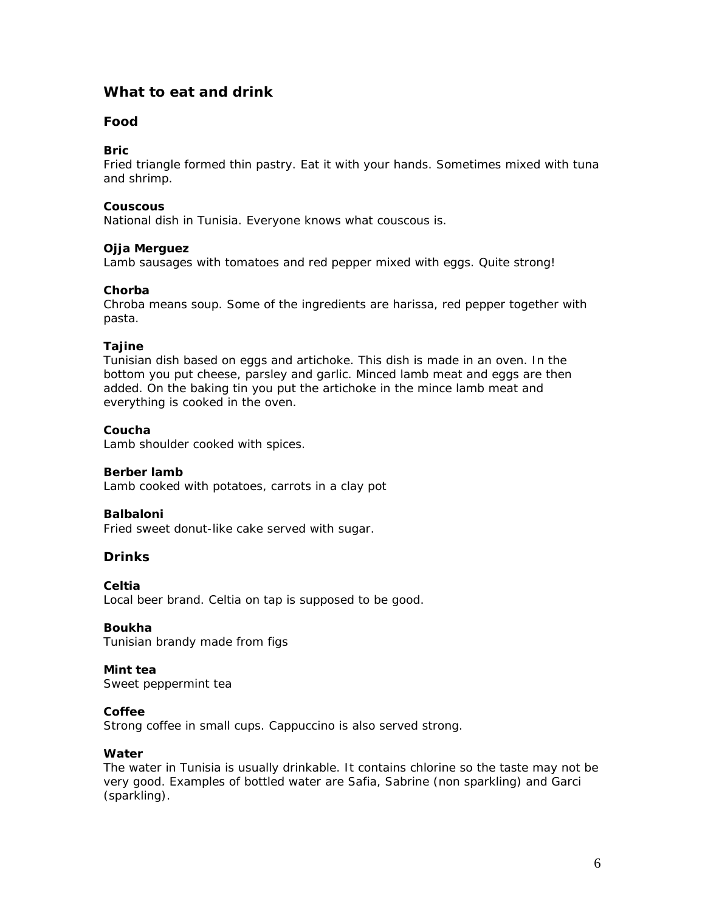## <span id="page-5-0"></span>**What to eat and drink**

### **Food**

### **Bric**

Fried triangle formed thin pastry. Eat it with your hands. Sometimes mixed with tuna and shrimp.

### **Couscous**

National dish in Tunisia. Everyone knows what couscous is.

### **Ojja Merguez**

Lamb sausages with tomatoes and red pepper mixed with eggs. Quite strong!

### **Chorba**

Chroba means soup. Some of the ingredients are harissa, red pepper together with pasta.

### **Tajine**

Tunisian dish based on eggs and artichoke. This dish is made in an oven. In the bottom you put cheese, parsley and garlic. Minced lamb meat and eggs are then added. On the baking tin you put the artichoke in the mince lamb meat and everything is cooked in the oven.

### **Coucha**

Lamb shoulder cooked with spices.

### **Berber lamb**

Lamb cooked with potatoes, carrots in a clay pot

### **Balbaloni**

Fried sweet donut-like cake served with sugar.

### **Drinks**

**Celtia** 

Local beer brand. Celtia on tap is supposed to be good.

### **Boukha**

Tunisian brandy made from figs

### **Mint tea**

Sweet peppermint tea

### **Coffee**

Strong coffee in small cups. Cappuccino is also served strong.

### **Water**

The water in Tunisia is usually drinkable. It contains chlorine so the taste may not be very good. Examples of bottled water are Safia, Sabrine (non sparkling) and Garci (sparkling).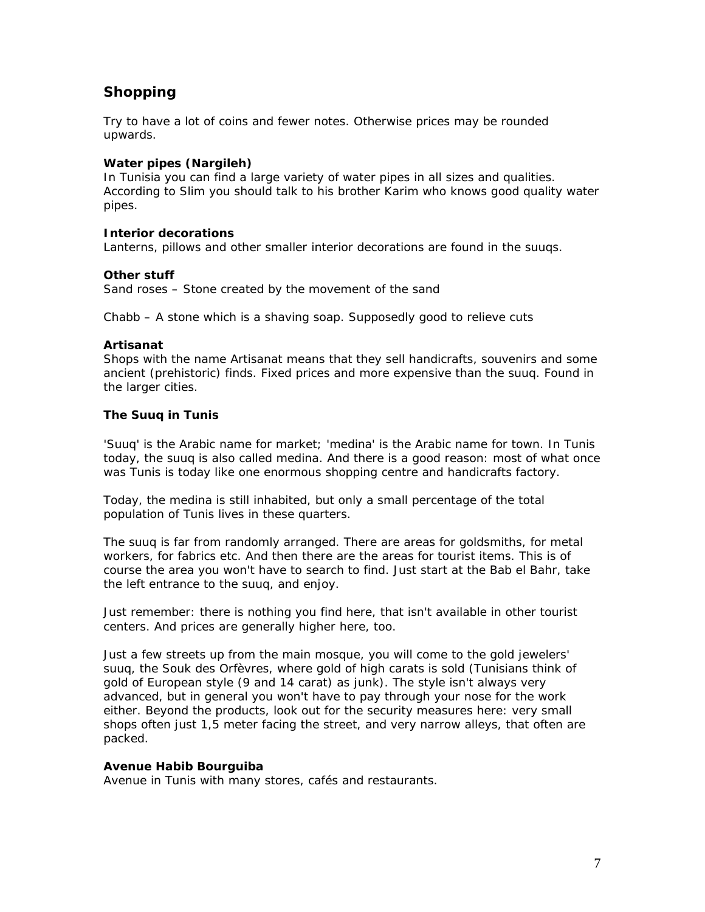# <span id="page-6-0"></span>**Shopping**

Try to have a lot of coins and fewer notes. Otherwise prices may be rounded upwards.

### **Water pipes (Nargileh)**

In Tunisia you can find a large variety of water pipes in all sizes and qualities. According to Slim you should talk to his brother Karim who knows good quality water pipes.

### **Interior decorations**

Lanterns, pillows and other smaller interior decorations are found in the suuqs.

### **Other stuff**

Sand roses – Stone created by the movement of the sand

Chabb – A stone which is a shaving soap. Supposedly good to relieve cuts

### **Artisanat**

Shops with the name Artisanat means that they sell handicrafts, souvenirs and some ancient (prehistoric) finds. Fixed prices and more expensive than the suuq. Found in the larger cities.

### **The Suuq in Tunis**

'Suuq' is the Arabic name for market; 'medina' is the Arabic name for town. In Tunis today, the suuq is also called medina. And there is a good reason: most of what once was Tunis is today like one enormous shopping centre and handicrafts factory.

Today, the medina is still inhabited, but only a small percentage of the total population of Tunis lives in these quarters.

The suuq is far from randomly arranged. There are areas for goldsmiths, for metal workers, for fabrics etc. And then there are the areas for tourist items. This is of course the area you won't have to search to find. Just start at the Bab el Bahr, take the left entrance to the suuq, and enjoy.

Just remember: there is nothing you find here, that isn't available in other tourist centers. And prices are generally higher here, too.

Just a few streets up from the main mosque, you will come to the gold jewelers' suuq, the Souk des Orfèvres, where gold of high carats is sold (Tunisians think of gold of European style (9 and 14 carat) as junk). The style isn't always very advanced, but in general you won't have to pay through your nose for the work either. Beyond the products, look out for the security measures here: very small shops often just 1,5 meter facing the street, and very narrow alleys, that often are packed.

### **Avenue Habib Bourguiba**

Avenue in Tunis with many stores, cafés and restaurants.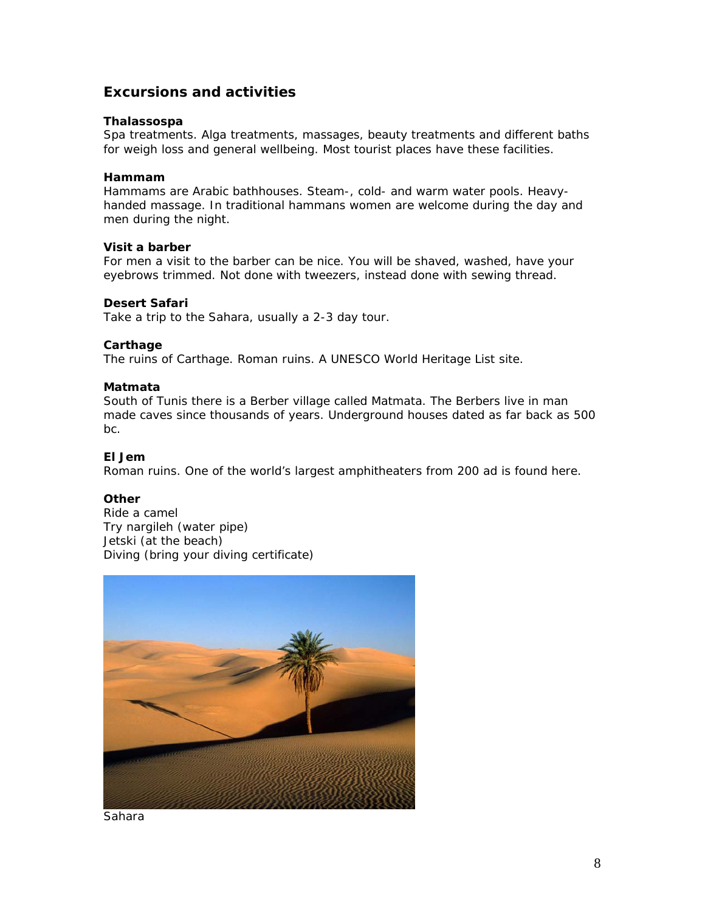## <span id="page-7-0"></span>**Excursions and activities**

### **Thalassospa**

Spa treatments. Alga treatments, massages, beauty treatments and different baths for weigh loss and general wellbeing. Most tourist places have these facilities.

### **Hammam**

Hammams are Arabic bathhouses. Steam-, cold- and warm water pools. Heavyhanded massage. In traditional hammans women are welcome during the day and men during the night.

### **Visit a barber**

For men a visit to the barber can be nice. You will be shaved, washed, have your eyebrows trimmed. Not done with tweezers, instead done with sewing thread.

### **Desert Safari**

Take a trip to the Sahara, usually a 2-3 day tour.

### **Carthage**

The ruins of Carthage. Roman ruins. A UNESCO World Heritage List site.

### **Matmata**

South of Tunis there is a Berber village called Matmata. The Berbers live in man made caves since thousands of years. Underground houses dated as far back as 500 bc.

### **El Jem**

Roman ruins. One of the world's largest amphitheaters from 200 ad is found here.

### **Other**

Ride a camel Try nargileh (water pipe) Jetski (at the beach) Diving (bring your diving certificate)



Sahara